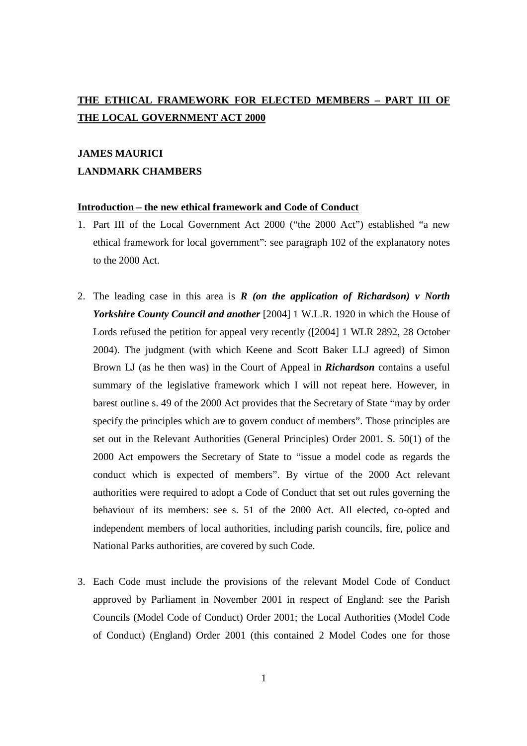### **THE ETHICAL FRAMEWORK FOR ELECTED MEMBERS – PART III OF THE LOCAL GOVERNMENT ACT 2000**

## **JAMES MAURICI LANDMARK CHAMBERS**

### **Introduction – the new ethical framework and Code of Conduct**

- 1. Part III of the Local Government Act 2000 ("the 2000 Act") established "a new ethical framework for local government": see paragraph 102 of the explanatory notes to the 2000 Act.
- 2. The leading case in this area is *R (on the application of Richardson) v North Yorkshire County Council and another* [2004] 1 W.L.R. 1920 in which the House of Lords refused the petition for appeal very recently ([2004] 1 WLR 2892, 28 October 2004). The judgment (with which Keene and Scott Baker LLJ agreed) of Simon Brown LJ (as he then was) in the Court of Appeal in *Richardson* contains a useful summary of the legislative framework which I will not repeat here. However, in barest outline s. 49 of the 2000 Act provides that the Secretary of State "may by order specify the principles which are to govern conduct of members". Those principles are set out in the Relevant Authorities (General Principles) Order 2001. S. 50(1) of the 2000 Act empowers the Secretary of State to "issue a model code as regards the conduct which is expected of members". By virtue of the 2000 Act relevant authorities were required to adopt a Code of Conduct that set out rules governing the behaviour of its members: see s. 51 of the 2000 Act. All elected, co-opted and independent members of local authorities, including parish councils, fire, police and National Parks authorities, are covered by such Code.
- 3. Each Code must include the provisions of the relevant Model Code of Conduct approved by Parliament in November 2001 in respect of England: see the Parish Councils (Model Code of Conduct) Order 2001; the Local Authorities (Model Code of Conduct) (England) Order 2001 (this contained 2 Model Codes one for those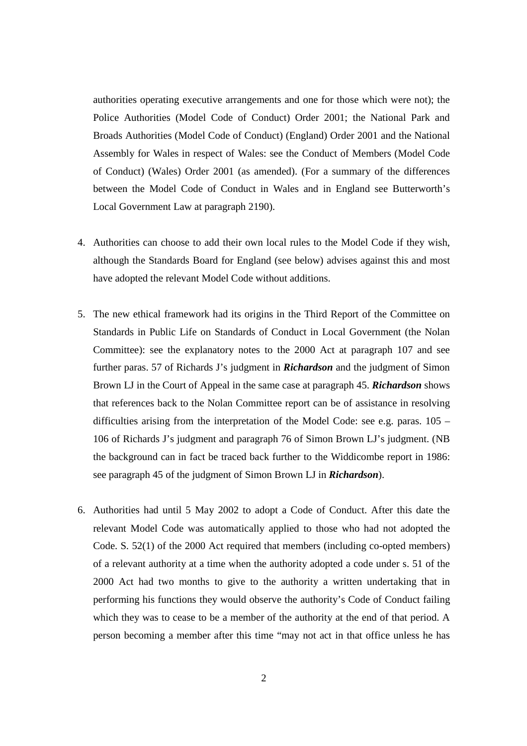authorities operating executive arrangements and one for those which were not); the Police Authorities (Model Code of Conduct) Order 2001; the National Park and Broads Authorities (Model Code of Conduct) (England) Order 2001 and the National Assembly for Wales in respect of Wales: see the Conduct of Members (Model Code of Conduct) (Wales) Order 2001 (as amended). (For a summary of the differences between the Model Code of Conduct in Wales and in England see Butterworth's Local Government Law at paragraph 2190).

- 4. Authorities can choose to add their own local rules to the Model Code if they wish, although the Standards Board for England (see below) advises against this and most have adopted the relevant Model Code without additions.
- 5. The new ethical framework had its origins in the Third Report of the Committee on Standards in Public Life on Standards of Conduct in Local Government (the Nolan Committee): see the explanatory notes to the 2000 Act at paragraph 107 and see further paras. 57 of Richards J's judgment in *Richardson* and the judgment of Simon Brown LJ in the Court of Appeal in the same case at paragraph 45. *Richardson* shows that references back to the Nolan Committee report can be of assistance in resolving difficulties arising from the interpretation of the Model Code: see e.g. paras. 105 – 106 of Richards J's judgment and paragraph 76 of Simon Brown LJ's judgment. (NB the background can in fact be traced back further to the Widdicombe report in 1986: see paragraph 45 of the judgment of Simon Brown LJ in *Richardson*).
- 6. Authorities had until 5 May 2002 to adopt a Code of Conduct. After this date the relevant Model Code was automatically applied to those who had not adopted the Code. S. 52(1) of the 2000 Act required that members (including co-opted members) of a relevant authority at a time when the authority adopted a code under s. 51 of the 2000 Act had two months to give to the authority a written undertaking that in performing his functions they would observe the authority's Code of Conduct failing which they was to cease to be a member of the authority at the end of that period. A person becoming a member after this time "may not act in that office unless he has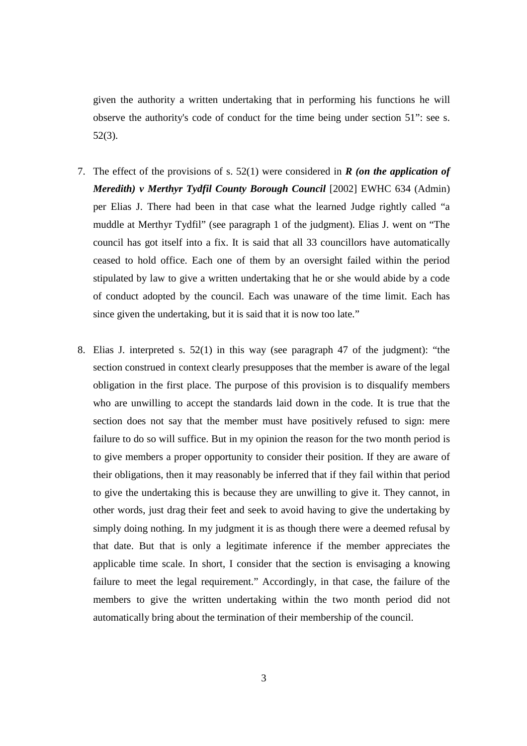given the authority a written undertaking that in performing his functions he will observe the authority's code of conduct for the time being under section 51": see s. 52(3).

- 7. The effect of the provisions of s. 52(1) were considered in *R (on the application of Meredith) v Merthyr Tydfil County Borough Council* [2002] EWHC 634 (Admin) per Elias J. There had been in that case what the learned Judge rightly called "a muddle at Merthyr Tydfil" (see paragraph 1 of the judgment). Elias J. went on "The council has got itself into a fix. It is said that all 33 councillors have automatically ceased to hold office. Each one of them by an oversight failed within the period stipulated by law to give a written undertaking that he or she would abide by a code of conduct adopted by the council. Each was unaware of the time limit. Each has since given the undertaking, but it is said that it is now too late."
- 8. Elias J. interpreted s. 52(1) in this way (see paragraph 47 of the judgment): "the section construed in context clearly presupposes that the member is aware of the legal obligation in the first place. The purpose of this provision is to disqualify members who are unwilling to accept the standards laid down in the code. It is true that the section does not say that the member must have positively refused to sign: mere failure to do so will suffice. But in my opinion the reason for the two month period is to give members a proper opportunity to consider their position. If they are aware of their obligations, then it may reasonably be inferred that if they fail within that period to give the undertaking this is because they are unwilling to give it. They cannot, in other words, just drag their feet and seek to avoid having to give the undertaking by simply doing nothing. In my judgment it is as though there were a deemed refusal by that date. But that is only a legitimate inference if the member appreciates the applicable time scale. In short, I consider that the section is envisaging a knowing failure to meet the legal requirement." Accordingly, in that case, the failure of the members to give the written undertaking within the two month period did not automatically bring about the termination of their membership of the council.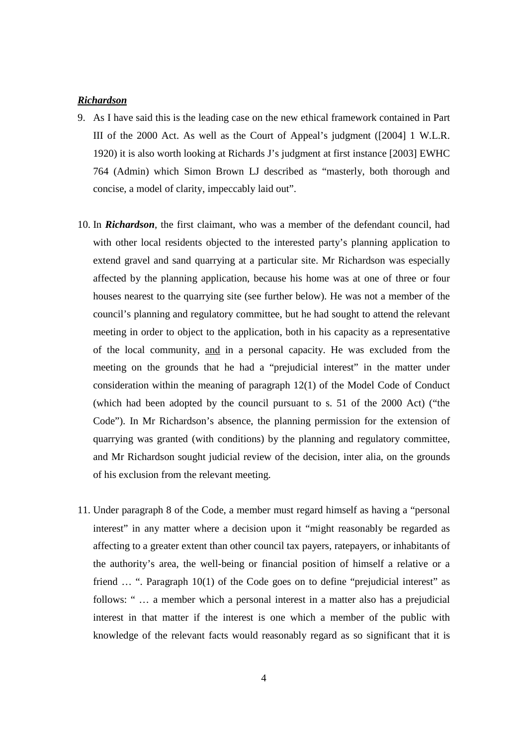### *Richardson*

- 9. As I have said this is the leading case on the new ethical framework contained in Part III of the 2000 Act. As well as the Court of Appeal's judgment ([2004] 1 W.L.R. 1920) it is also worth looking at Richards J's judgment at first instance [2003] EWHC 764 (Admin) which Simon Brown LJ described as "masterly, both thorough and concise, a model of clarity, impeccably laid out".
- 10. In *Richardson*, the first claimant, who was a member of the defendant council, had with other local residents objected to the interested party's planning application to extend gravel and sand quarrying at a particular site. Mr Richardson was especially affected by the planning application, because his home was at one of three or four houses nearest to the quarrying site (see further below). He was not a member of the council's planning and regulatory committee, but he had sought to attend the relevant meeting in order to object to the application, both in his capacity as a representative of the local community, and in a personal capacity. He was excluded from the meeting on the grounds that he had a "prejudicial interest" in the matter under consideration within the meaning of paragraph 12(1) of the Model Code of Conduct (which had been adopted by the council pursuant to s. 51 of the 2000 Act) ("the Code"). In Mr Richardson's absence, the planning permission for the extension of quarrying was granted (with conditions) by the planning and regulatory committee, and Mr Richardson sought judicial review of the decision, inter alia, on the grounds of his exclusion from the relevant meeting.
- 11. Under paragraph 8 of the Code, a member must regard himself as having a "personal interest" in any matter where a decision upon it "might reasonably be regarded as affecting to a greater extent than other council tax payers, ratepayers, or inhabitants of the authority's area, the well-being or financial position of himself a relative or a friend … ". Paragraph 10(1) of the Code goes on to define "prejudicial interest" as follows: " … a member which a personal interest in a matter also has a prejudicial interest in that matter if the interest is one which a member of the public with knowledge of the relevant facts would reasonably regard as so significant that it is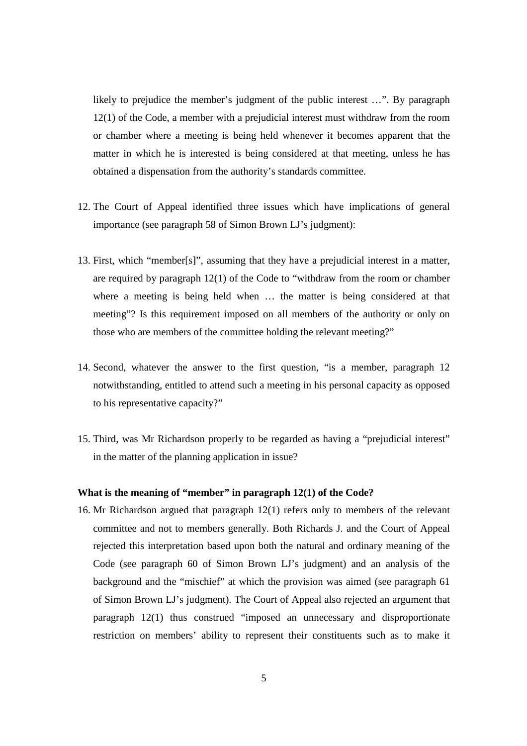likely to prejudice the member's judgment of the public interest …". By paragraph 12(1) of the Code, a member with a prejudicial interest must withdraw from the room or chamber where a meeting is being held whenever it becomes apparent that the matter in which he is interested is being considered at that meeting, unless he has obtained a dispensation from the authority's standards committee.

- 12. The Court of Appeal identified three issues which have implications of general importance (see paragraph 58 of Simon Brown LJ's judgment):
- 13. First, which "member[s]", assuming that they have a prejudicial interest in a matter, are required by paragraph 12(1) of the Code to "withdraw from the room or chamber where a meeting is being held when … the matter is being considered at that meeting"? Is this requirement imposed on all members of the authority or only on those who are members of the committee holding the relevant meeting?"
- 14. Second, whatever the answer to the first question, "is a member, paragraph 12 notwithstanding, entitled to attend such a meeting in his personal capacity as opposed to his representative capacity?"
- 15. Third, was Mr Richardson properly to be regarded as having a "prejudicial interest" in the matter of the planning application in issue?

### **What is the meaning of "member" in paragraph 12(1) of the Code?**

16. Mr Richardson argued that paragraph 12(1) refers only to members of the relevant committee and not to members generally. Both Richards J. and the Court of Appeal rejected this interpretation based upon both the natural and ordinary meaning of the Code (see paragraph 60 of Simon Brown LJ's judgment) and an analysis of the background and the "mischief" at which the provision was aimed (see paragraph 61 of Simon Brown LJ's judgment). The Court of Appeal also rejected an argument that paragraph 12(1) thus construed "imposed an unnecessary and disproportionate restriction on members' ability to represent their constituents such as to make it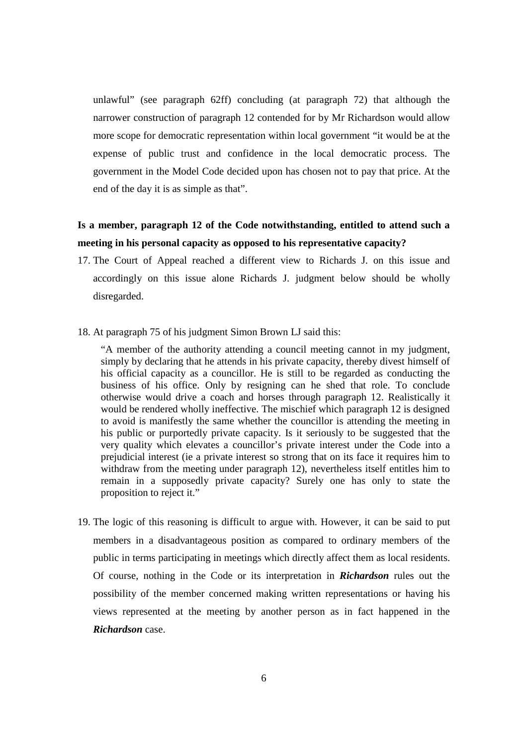unlawful" (see paragraph 62ff) concluding (at paragraph 72) that although the narrower construction of paragraph 12 contended for by Mr Richardson would allow more scope for democratic representation within local government "it would be at the expense of public trust and confidence in the local democratic process. The government in the Model Code decided upon has chosen not to pay that price. At the end of the day it is as simple as that".

### **Is a member, paragraph 12 of the Code notwithstanding, entitled to attend such a meeting in his personal capacity as opposed to his representative capacity?**

- 17. The Court of Appeal reached a different view to Richards J. on this issue and accordingly on this issue alone Richards J. judgment below should be wholly disregarded.
- 18. At paragraph 75 of his judgment Simon Brown LJ said this:

"A member of the authority attending a council meeting cannot in my judgment, simply by declaring that he attends in his private capacity, thereby divest himself of his official capacity as a councillor. He is still to be regarded as conducting the business of his office. Only by resigning can he shed that role. To conclude otherwise would drive a coach and horses through paragraph 12. Realistically it would be rendered wholly ineffective. The mischief which paragraph 12 is designed to avoid is manifestly the same whether the councillor is attending the meeting in his public or purportedly private capacity. Is it seriously to be suggested that the very quality which elevates a councillor's private interest under the Code into a prejudicial interest (ie a private interest so strong that on its face it requires him to withdraw from the meeting under paragraph 12), nevertheless itself entitles him to remain in a supposedly private capacity? Surely one has only to state the proposition to reject it."

19. The logic of this reasoning is difficult to argue with. However, it can be said to put members in a disadvantageous position as compared to ordinary members of the public in terms participating in meetings which directly affect them as local residents. Of course, nothing in the Code or its interpretation in *Richardson* rules out the possibility of the member concerned making written representations or having his views represented at the meeting by another person as in fact happened in the *Richardson* case.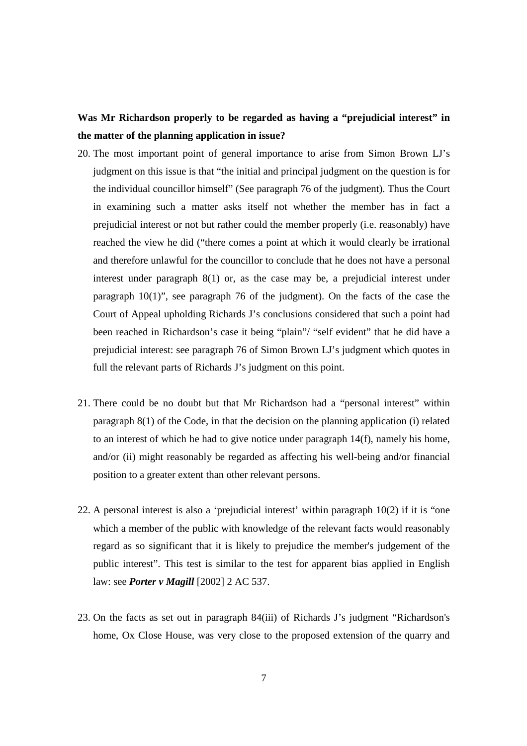### **Was Mr Richardson properly to be regarded as having a "prejudicial interest" in the matter of the planning application in issue?**

- 20. The most important point of general importance to arise from Simon Brown LJ's judgment on this issue is that "the initial and principal judgment on the question is for the individual councillor himself" (See paragraph 76 of the judgment). Thus the Court in examining such a matter asks itself not whether the member has in fact a prejudicial interest or not but rather could the member properly (i.e. reasonably) have reached the view he did ("there comes a point at which it would clearly be irrational and therefore unlawful for the councillor to conclude that he does not have a personal interest under paragraph 8(1) or, as the case may be, a prejudicial interest under paragraph  $10(1)$ ", see paragraph 76 of the judgment). On the facts of the case the Court of Appeal upholding Richards J's conclusions considered that such a point had been reached in Richardson's case it being "plain"/ "self evident" that he did have a prejudicial interest: see paragraph 76 of Simon Brown LJ's judgment which quotes in full the relevant parts of Richards J's judgment on this point.
- 21. There could be no doubt but that Mr Richardson had a "personal interest" within paragraph 8(1) of the Code, in that the decision on the planning application (i) related to an interest of which he had to give notice under paragraph 14(f), namely his home, and/or (ii) might reasonably be regarded as affecting his well-being and/or financial position to a greater extent than other relevant persons.
- 22. A personal interest is also a 'prejudicial interest' within paragraph 10(2) if it is "one which a member of the public with knowledge of the relevant facts would reasonably regard as so significant that it is likely to prejudice the member's judgement of the public interest". This test is similar to the test for apparent bias applied in English law: see *Porter v Magill* [2002] 2 AC 537.
- 23. On the facts as set out in paragraph 84(iii) of Richards J's judgment "Richardson's home, Ox Close House, was very close to the proposed extension of the quarry and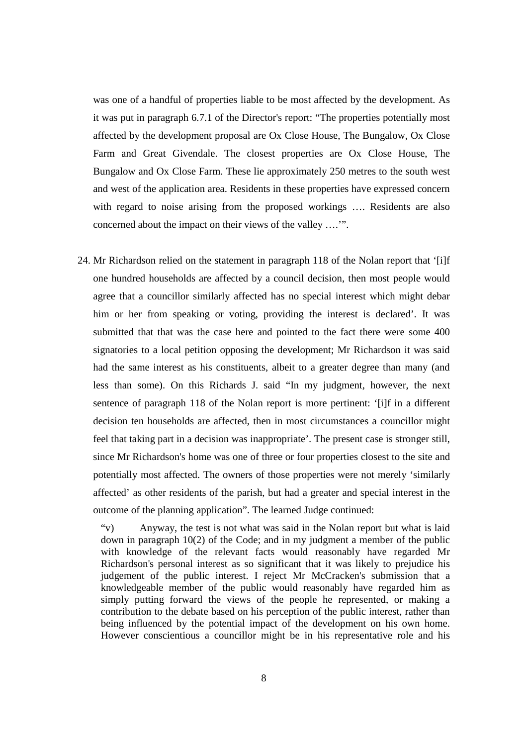was one of a handful of properties liable to be most affected by the development. As it was put in paragraph 6.7.1 of the Director's report: "The properties potentially most affected by the development proposal are Ox Close House, The Bungalow, Ox Close Farm and Great Givendale. The closest properties are Ox Close House, The Bungalow and Ox Close Farm. These lie approximately 250 metres to the south west and west of the application area. Residents in these properties have expressed concern with regard to noise arising from the proposed workings .... Residents are also concerned about the impact on their views of the valley ….'".

24. Mr Richardson relied on the statement in paragraph 118 of the Nolan report that '[i]f one hundred households are affected by a council decision, then most people would agree that a councillor similarly affected has no special interest which might debar him or her from speaking or voting, providing the interest is declared'. It was submitted that that was the case here and pointed to the fact there were some 400 signatories to a local petition opposing the development; Mr Richardson it was said had the same interest as his constituents, albeit to a greater degree than many (and less than some). On this Richards J. said "In my judgment, however, the next sentence of paragraph 118 of the Nolan report is more pertinent: '[i]f in a different decision ten households are affected, then in most circumstances a councillor might feel that taking part in a decision was inappropriate'. The present case is stronger still, since Mr Richardson's home was one of three or four properties closest to the site and potentially most affected. The owners of those properties were not merely 'similarly affected' as other residents of the parish, but had a greater and special interest in the outcome of the planning application". The learned Judge continued:

"v) Anyway, the test is not what was said in the Nolan report but what is laid down in paragraph 10(2) of the Code; and in my judgment a member of the public with knowledge of the relevant facts would reasonably have regarded Mr Richardson's personal interest as so significant that it was likely to prejudice his judgement of the public interest. I reject Mr McCracken's submission that a knowledgeable member of the public would reasonably have regarded him as simply putting forward the views of the people he represented, or making a contribution to the debate based on his perception of the public interest, rather than being influenced by the potential impact of the development on his own home. However conscientious a councillor might be in his representative role and his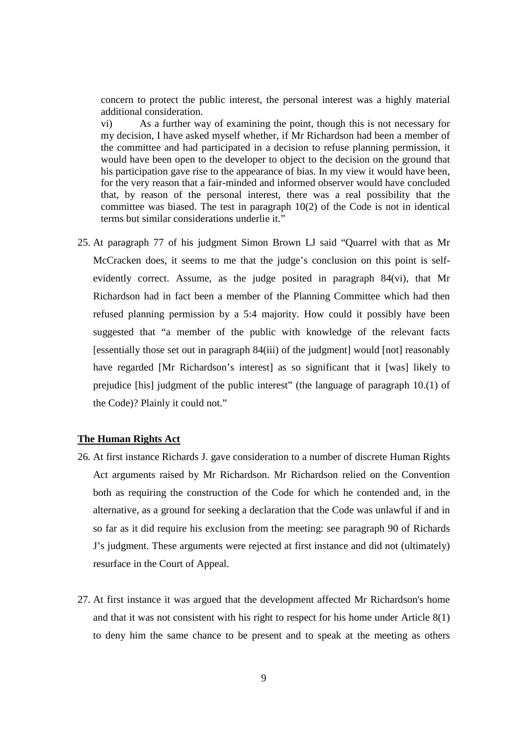concern to protect the public interest, the personal interest was a highly material additional consideration.

vi) As a further way of examining the point, though this is not necessary for my decision, I have asked myself whether, if Mr Richardson had been a member of the committee and had participated in a decision to refuse planning permission, it would have been open to the developer to object to the decision on the ground that his participation gave rise to the appearance of bias. In my view it would have been, for the very reason that a fair-minded and informed observer would have concluded that, by reason of the personal interest, there was a real possibility that the committee was biased. The test in paragraph 10(2) of the Code is not in identical terms but similar considerations underlie it."

25. At paragraph 77 of his judgment Simon Brown LJ said "Quarrel with that as Mr McCracken does, it seems to me that the judge's conclusion on this point is selfevidently correct. Assume, as the judge posited in paragraph 84(vi), that Mr Richardson had in fact been a member of the Planning Committee which had then refused planning permission by a 5:4 majority. How could it possibly have been suggested that "a member of the public with knowledge of the relevant facts [essentially those set out in paragraph 84(iii) of the judgment] would [not] reasonably have regarded [Mr Richardson's interest] as so significant that it [was] likely to prejudice [his] judgment of the public interest" (the language of paragraph 10.(1) of the Code)? Plainly it could not."

### **The Human Rights Act**

- 26. At first instance Richards J. gave consideration to a number of discrete Human Rights Act arguments raised by Mr Richardson. Mr Richardson relied on the Convention both as requiring the construction of the Code for which he contended and, in the alternative, as a ground for seeking a declaration that the Code was unlawful if and in so far as it did require his exclusion from the meeting: see paragraph 90 of Richards J's judgment. These arguments were rejected at first instance and did not (ultimately) resurface in the Court of Appeal.
- 27. At first instance it was argued that the development affected Mr Richardson's home and that it was not consistent with his right to respect for his home under Article 8(1) to deny him the same chance to be present and to speak at the meeting as others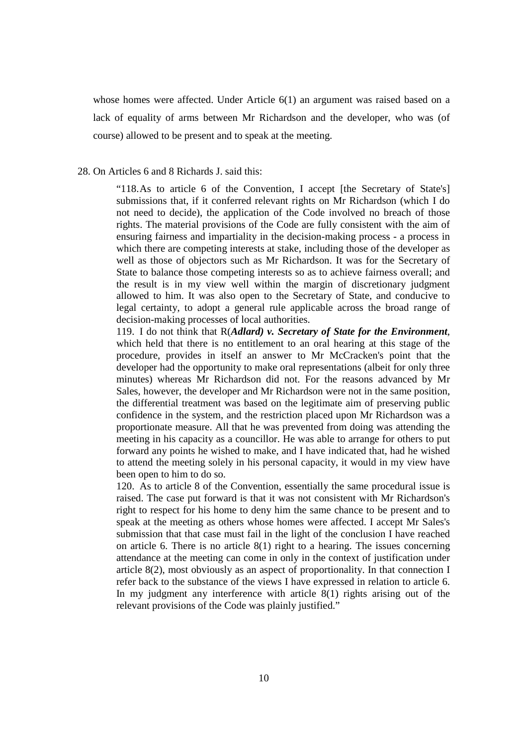whose homes were affected. Under Article 6(1) an argument was raised based on a lack of equality of arms between Mr Richardson and the developer, who was (of course) allowed to be present and to speak at the meeting.

#### 28. On Articles 6 and 8 Richards J. said this:

"118. As to article 6 of the Convention, I accept [the Secretary of State's] submissions that, if it conferred relevant rights on Mr Richardson (which I do not need to decide), the application of the Code involved no breach of those rights. The material provisions of the Code are fully consistent with the aim of ensuring fairness and impartiality in the decision-making process - a process in which there are competing interests at stake, including those of the developer as well as those of objectors such as Mr Richardson. It was for the Secretary of State to balance those competing interests so as to achieve fairness overall; and the result is in my view well within the margin of discretionary judgment allowed to him. It was also open to the Secretary of State, and conducive to legal certainty, to adopt a general rule applicable across the broad range of decision-making processes of local authorities.

119. I do not think that R(*Adlard) v. Secretary of State for the Environment*, which held that there is no entitlement to an oral hearing at this stage of the procedure, provides in itself an answer to Mr McCracken's point that the developer had the opportunity to make oral representations (albeit for only three minutes) whereas Mr Richardson did not. For the reasons advanced by Mr Sales, however, the developer and Mr Richardson were not in the same position, the differential treatment was based on the legitimate aim of preserving public confidence in the system, and the restriction placed upon Mr Richardson was a proportionate measure. All that he was prevented from doing was attending the meeting in his capacity as a councillor. He was able to arrange for others to put forward any points he wished to make, and I have indicated that, had he wished to attend the meeting solely in his personal capacity, it would in my view have been open to him to do so.

120. As to article 8 of the Convention, essentially the same procedural issue is raised. The case put forward is that it was not consistent with Mr Richardson's right to respect for his home to deny him the same chance to be present and to speak at the meeting as others whose homes were affected. I accept Mr Sales's submission that that case must fail in the light of the conclusion I have reached on article 6. There is no article 8(1) right to a hearing. The issues concerning attendance at the meeting can come in only in the context of justification under article 8(2), most obviously as an aspect of proportionality. In that connection I refer back to the substance of the views I have expressed in relation to article 6. In my judgment any interference with article 8(1) rights arising out of the relevant provisions of the Code was plainly justified."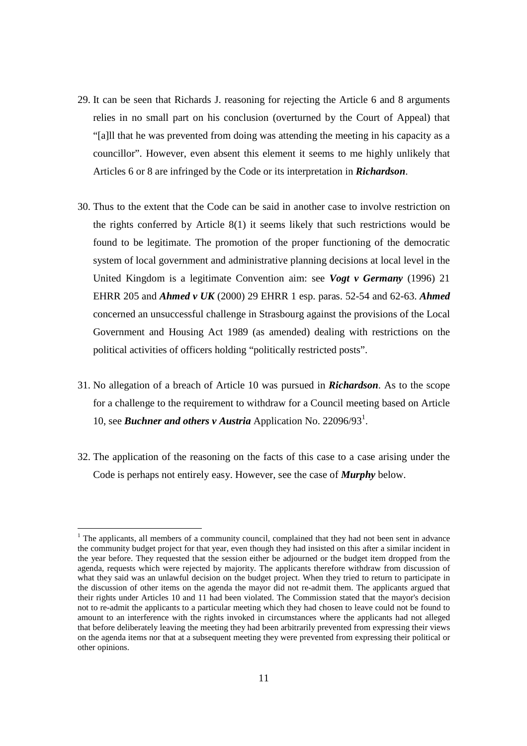- 29. It can be seen that Richards J. reasoning for rejecting the Article 6 and 8 arguments relies in no small part on his conclusion (overturned by the Court of Appeal) that "[a]ll that he was prevented from doing was attending the meeting in his capacity as a councillor". However, even absent this element it seems to me highly unlikely that Articles 6 or 8 are infringed by the Code or its interpretation in *Richardson*.
- 30. Thus to the extent that the Code can be said in another case to involve restriction on the rights conferred by Article 8(1) it seems likely that such restrictions would be found to be legitimate. The promotion of the proper functioning of the democratic system of local government and administrative planning decisions at local level in the United Kingdom is a legitimate Convention aim: see *Vogt v Germany* (1996) 21 EHRR 205 and *Ahmed v UK* (2000) 29 EHRR 1 esp. paras. 52-54 and 62-63. *Ahmed*  concerned an unsuccessful challenge in Strasbourg against the provisions of the Local Government and Housing Act 1989 (as amended) dealing with restrictions on the political activities of officers holding "politically restricted posts".
- 31. No allegation of a breach of Article 10 was pursued in *Richardson*. As to the scope for a challenge to the requirement to withdraw for a Council meeting based on Article 10, see *Buchner and others v Austria* Application No. 22096/93<sup>1</sup>.
- 32. The application of the reasoning on the facts of this case to a case arising under the Code is perhaps not entirely easy. However, see the case of *Murphy* below.

-

<sup>&</sup>lt;sup>1</sup> The applicants, all members of a community council, complained that they had not been sent in advance the community budget project for that year, even though they had insisted on this after a similar incident in the year before. They requested that the session either be adjourned or the budget item dropped from the agenda, requests which were rejected by majority. The applicants therefore withdraw from discussion of what they said was an unlawful decision on the budget project. When they tried to return to participate in the discussion of other items on the agenda the mayor did not re-admit them. The applicants argued that their rights under Articles 10 and 11 had been violated. The Commission stated that the mayor's decision not to re-admit the applicants to a particular meeting which they had chosen to leave could not be found to amount to an interference with the rights invoked in circumstances where the applicants had not alleged that before deliberately leaving the meeting they had been arbitrarily prevented from expressing their views on the agenda items nor that at a subsequent meeting they were prevented from expressing their political or other opinions.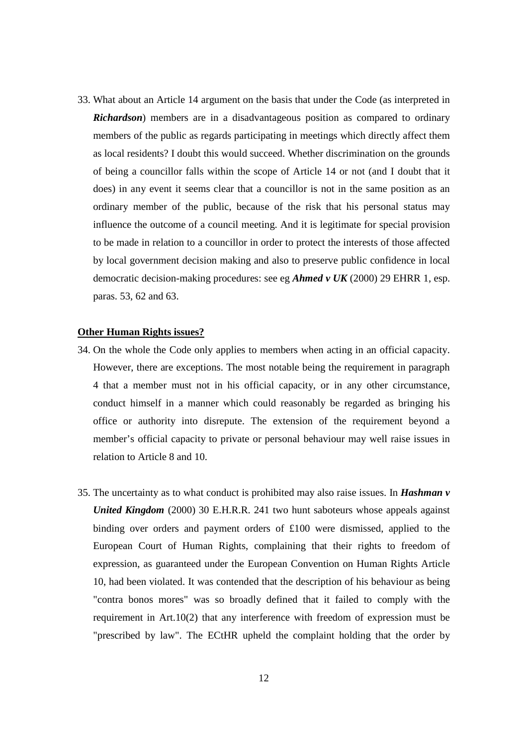33. What about an Article 14 argument on the basis that under the Code (as interpreted in *Richardson*) members are in a disadvantageous position as compared to ordinary members of the public as regards participating in meetings which directly affect them as local residents? I doubt this would succeed. Whether discrimination on the grounds of being a councillor falls within the scope of Article 14 or not (and I doubt that it does) in any event it seems clear that a councillor is not in the same position as an ordinary member of the public, because of the risk that his personal status may influence the outcome of a council meeting. And it is legitimate for special provision to be made in relation to a councillor in order to protect the interests of those affected by local government decision making and also to preserve public confidence in local democratic decision-making procedures: see eg *Ahmed v UK* (2000) 29 EHRR 1, esp. paras. 53, 62 and 63.

### **Other Human Rights issues?**

- 34. On the whole the Code only applies to members when acting in an official capacity. However, there are exceptions. The most notable being the requirement in paragraph 4 that a member must not in his official capacity, or in any other circumstance, conduct himself in a manner which could reasonably be regarded as bringing his office or authority into disrepute. The extension of the requirement beyond a member's official capacity to private or personal behaviour may well raise issues in relation to Article 8 and 10.
- 35. The uncertainty as to what conduct is prohibited may also raise issues. In *Hashman v United Kingdom* (2000) 30 E.H.R.R. 241 two hunt saboteurs whose appeals against binding over orders and payment orders of £100 were dismissed, applied to the European Court of Human Rights, complaining that their rights to freedom of expression, as guaranteed under the European Convention on Human Rights Article 10, had been violated. It was contended that the description of his behaviour as being "contra bonos mores" was so broadly defined that it failed to comply with the requirement in Art.10(2) that any interference with freedom of expression must be "prescribed by law". The ECtHR upheld the complaint holding that the order by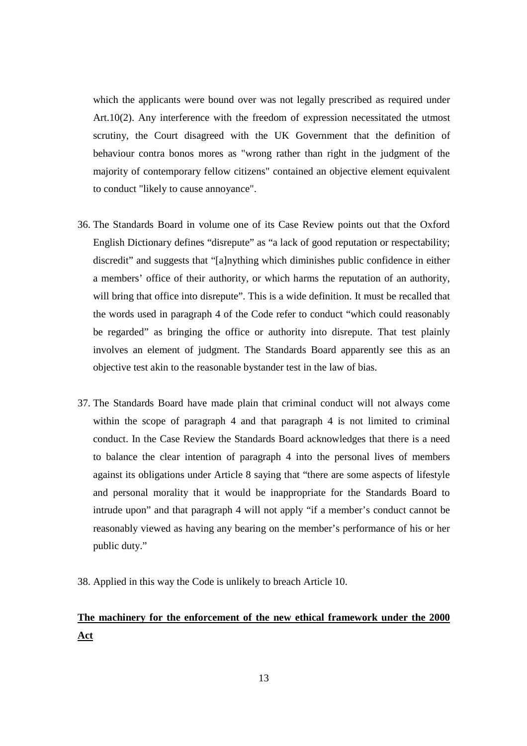which the applicants were bound over was not legally prescribed as required under Art.10(2). Any interference with the freedom of expression necessitated the utmost scrutiny, the Court disagreed with the UK Government that the definition of behaviour contra bonos mores as "wrong rather than right in the judgment of the majority of contemporary fellow citizens" contained an objective element equivalent to conduct "likely to cause annoyance".

- 36. The Standards Board in volume one of its Case Review points out that the Oxford English Dictionary defines "disrepute" as "a lack of good reputation or respectability; discredit" and suggests that "[a]nything which diminishes public confidence in either a members' office of their authority, or which harms the reputation of an authority, will bring that office into disrepute". This is a wide definition. It must be recalled that the words used in paragraph 4 of the Code refer to conduct "which could reasonably be regarded" as bringing the office or authority into disrepute. That test plainly involves an element of judgment. The Standards Board apparently see this as an objective test akin to the reasonable bystander test in the law of bias.
- 37. The Standards Board have made plain that criminal conduct will not always come within the scope of paragraph 4 and that paragraph 4 is not limited to criminal conduct. In the Case Review the Standards Board acknowledges that there is a need to balance the clear intention of paragraph 4 into the personal lives of members against its obligations under Article 8 saying that "there are some aspects of lifestyle and personal morality that it would be inappropriate for the Standards Board to intrude upon" and that paragraph 4 will not apply "if a member's conduct cannot be reasonably viewed as having any bearing on the member's performance of his or her public duty."
- 38. Applied in this way the Code is unlikely to breach Article 10.

# **The machinery for the enforcement of the new ethical framework under the 2000 Act**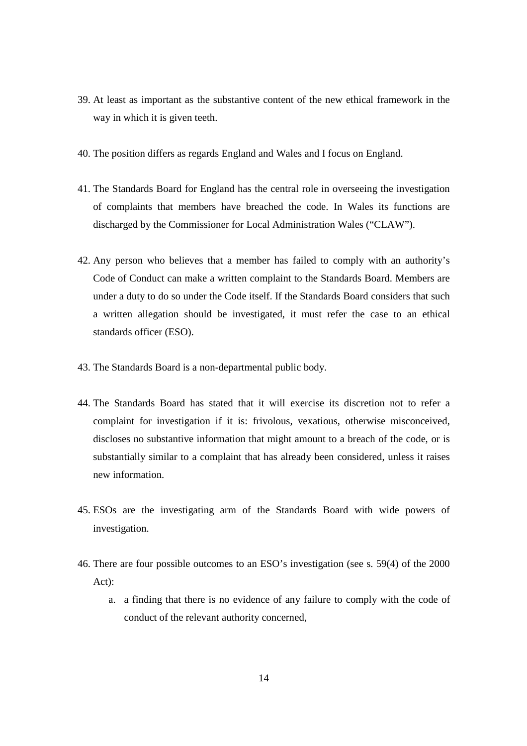- 39. At least as important as the substantive content of the new ethical framework in the way in which it is given teeth.
- 40. The position differs as regards England and Wales and I focus on England.
- 41. The Standards Board for England has the central role in overseeing the investigation of complaints that members have breached the code. In Wales its functions are discharged by the Commissioner for Local Administration Wales ("CLAW").
- 42. Any person who believes that a member has failed to comply with an authority's Code of Conduct can make a written complaint to the Standards Board. Members are under a duty to do so under the Code itself. If the Standards Board considers that such a written allegation should be investigated, it must refer the case to an ethical standards officer (ESO).
- 43. The Standards Board is a non-departmental public body.
- 44. The Standards Board has stated that it will exercise its discretion not to refer a complaint for investigation if it is: frivolous, vexatious, otherwise misconceived, discloses no substantive information that might amount to a breach of the code, or is substantially similar to a complaint that has already been considered, unless it raises new information.
- 45. ESOs are the investigating arm of the Standards Board with wide powers of investigation.
- 46. There are four possible outcomes to an ESO's investigation (see s. 59(4) of the 2000 Act):
	- a. a finding that there is no evidence of any failure to comply with the code of conduct of the relevant authority concerned,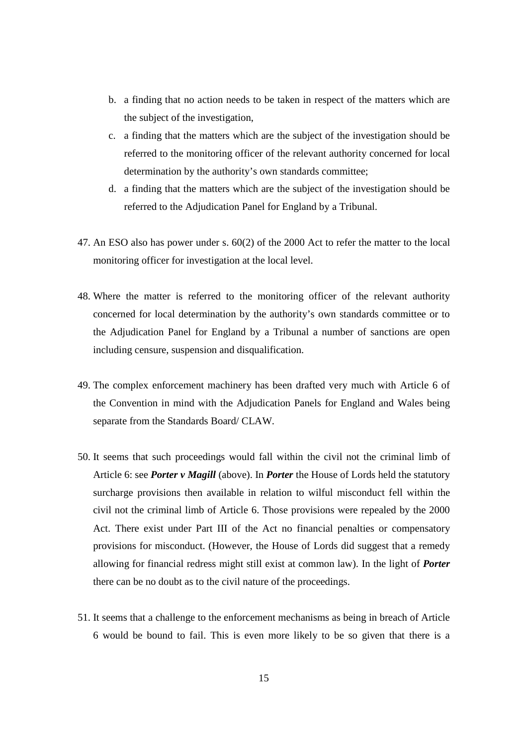- b. a finding that no action needs to be taken in respect of the matters which are the subject of the investigation,
- c. a finding that the matters which are the subject of the investigation should be referred to the monitoring officer of the relevant authority concerned for local determination by the authority's own standards committee;
- d. a finding that the matters which are the subject of the investigation should be referred to the Adjudication Panel for England by a Tribunal.
- 47. An ESO also has power under s. 60(2) of the 2000 Act to refer the matter to the local monitoring officer for investigation at the local level.
- 48. Where the matter is referred to the monitoring officer of the relevant authority concerned for local determination by the authority's own standards committee or to the Adjudication Panel for England by a Tribunal a number of sanctions are open including censure, suspension and disqualification.
- 49. The complex enforcement machinery has been drafted very much with Article 6 of the Convention in mind with the Adjudication Panels for England and Wales being separate from the Standards Board/ CLAW.
- 50. It seems that such proceedings would fall within the civil not the criminal limb of Article 6: see *Porter v Magill* (above). In *Porter* the House of Lords held the statutory surcharge provisions then available in relation to wilful misconduct fell within the civil not the criminal limb of Article 6. Those provisions were repealed by the 2000 Act. There exist under Part III of the Act no financial penalties or compensatory provisions for misconduct. (However, the House of Lords did suggest that a remedy allowing for financial redress might still exist at common law). In the light of *Porter*  there can be no doubt as to the civil nature of the proceedings.
- 51. It seems that a challenge to the enforcement mechanisms as being in breach of Article 6 would be bound to fail. This is even more likely to be so given that there is a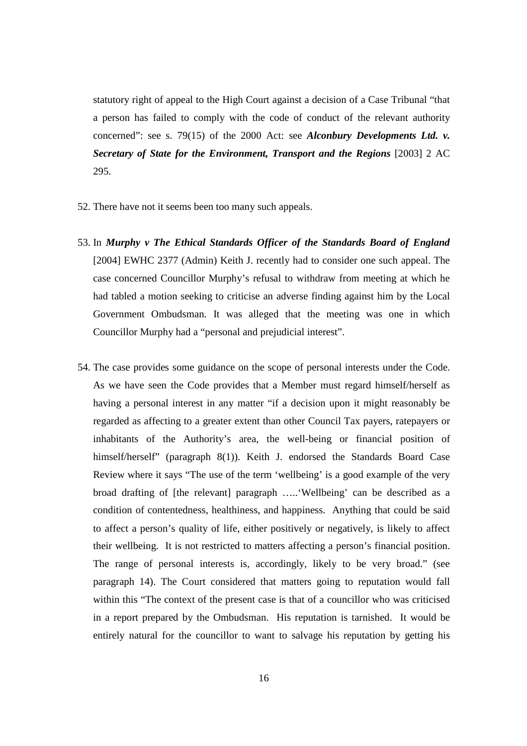statutory right of appeal to the High Court against a decision of a Case Tribunal "that a person has failed to comply with the code of conduct of the relevant authority concerned": see s. 79(15) of the 2000 Act: see *Alconbury Developments Ltd. v.*  **Secretary of State for the Environment, Transport and the Regions** [2003] 2 AC 295.

- 52. There have not it seems been too many such appeals.
- 53. In *Murphy v The Ethical Standards Officer of the Standards Board of England*  [2004] EWHC 2377 (Admin) Keith J. recently had to consider one such appeal. The case concerned Councillor Murphy's refusal to withdraw from meeting at which he had tabled a motion seeking to criticise an adverse finding against him by the Local Government Ombudsman. It was alleged that the meeting was one in which Councillor Murphy had a "personal and prejudicial interest".
- 54. The case provides some guidance on the scope of personal interests under the Code. As we have seen the Code provides that a Member must regard himself/herself as having a personal interest in any matter "if a decision upon it might reasonably be regarded as affecting to a greater extent than other Council Tax payers, ratepayers or inhabitants of the Authority's area, the well-being or financial position of himself/herself" (paragraph 8(1)). Keith J. endorsed the Standards Board Case Review where it says "The use of the term 'wellbeing' is a good example of the very broad drafting of [the relevant] paragraph …..'Wellbeing' can be described as a condition of contentedness, healthiness, and happiness. Anything that could be said to affect a person's quality of life, either positively or negatively, is likely to affect their wellbeing. It is not restricted to matters affecting a person's financial position. The range of personal interests is, accordingly, likely to be very broad." (see paragraph 14). The Court considered that matters going to reputation would fall within this "The context of the present case is that of a councillor who was criticised in a report prepared by the Ombudsman. His reputation is tarnished. It would be entirely natural for the councillor to want to salvage his reputation by getting his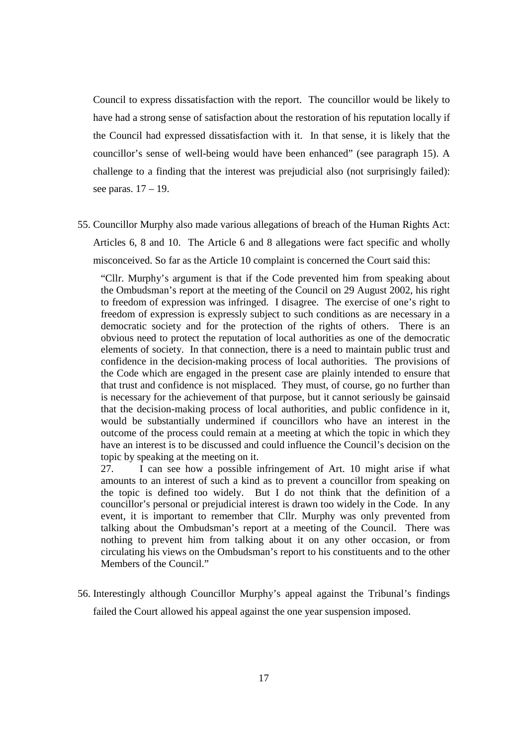Council to express dissatisfaction with the report. The councillor would be likely to have had a strong sense of satisfaction about the restoration of his reputation locally if the Council had expressed dissatisfaction with it. In that sense, it is likely that the councillor's sense of well-being would have been enhanced" (see paragraph 15). A challenge to a finding that the interest was prejudicial also (not surprisingly failed): see paras.  $17 - 19$ .

55. Councillor Murphy also made various allegations of breach of the Human Rights Act: Articles 6, 8 and 10. The Article 6 and 8 allegations were fact specific and wholly misconceived. So far as the Article 10 complaint is concerned the Court said this:

"Cllr. Murphy's argument is that if the Code prevented him from speaking about the Ombudsman's report at the meeting of the Council on 29 August 2002, his right to freedom of expression was infringed. I disagree. The exercise of one's right to freedom of expression is expressly subject to such conditions as are necessary in a democratic society and for the protection of the rights of others. There is an obvious need to protect the reputation of local authorities as one of the democratic elements of society. In that connection, there is a need to maintain public trust and confidence in the decision-making process of local authorities. The provisions of the Code which are engaged in the present case are plainly intended to ensure that that trust and confidence is not misplaced. They must, of course, go no further than is necessary for the achievement of that purpose, but it cannot seriously be gainsaid that the decision-making process of local authorities, and public confidence in it, would be substantially undermined if councillors who have an interest in the outcome of the process could remain at a meeting at which the topic in which they have an interest is to be discussed and could influence the Council's decision on the topic by speaking at the meeting on it.

27. I can see how a possible infringement of Art. 10 might arise if what amounts to an interest of such a kind as to prevent a councillor from speaking on the topic is defined too widely. But I do not think that the definition of a councillor's personal or prejudicial interest is drawn too widely in the Code. In any event, it is important to remember that Cllr. Murphy was only prevented from talking about the Ombudsman's report at a meeting of the Council. There was nothing to prevent him from talking about it on any other occasion, or from circulating his views on the Ombudsman's report to his constituents and to the other Members of the Council."

56. Interestingly although Councillor Murphy's appeal against the Tribunal's findings failed the Court allowed his appeal against the one year suspension imposed.